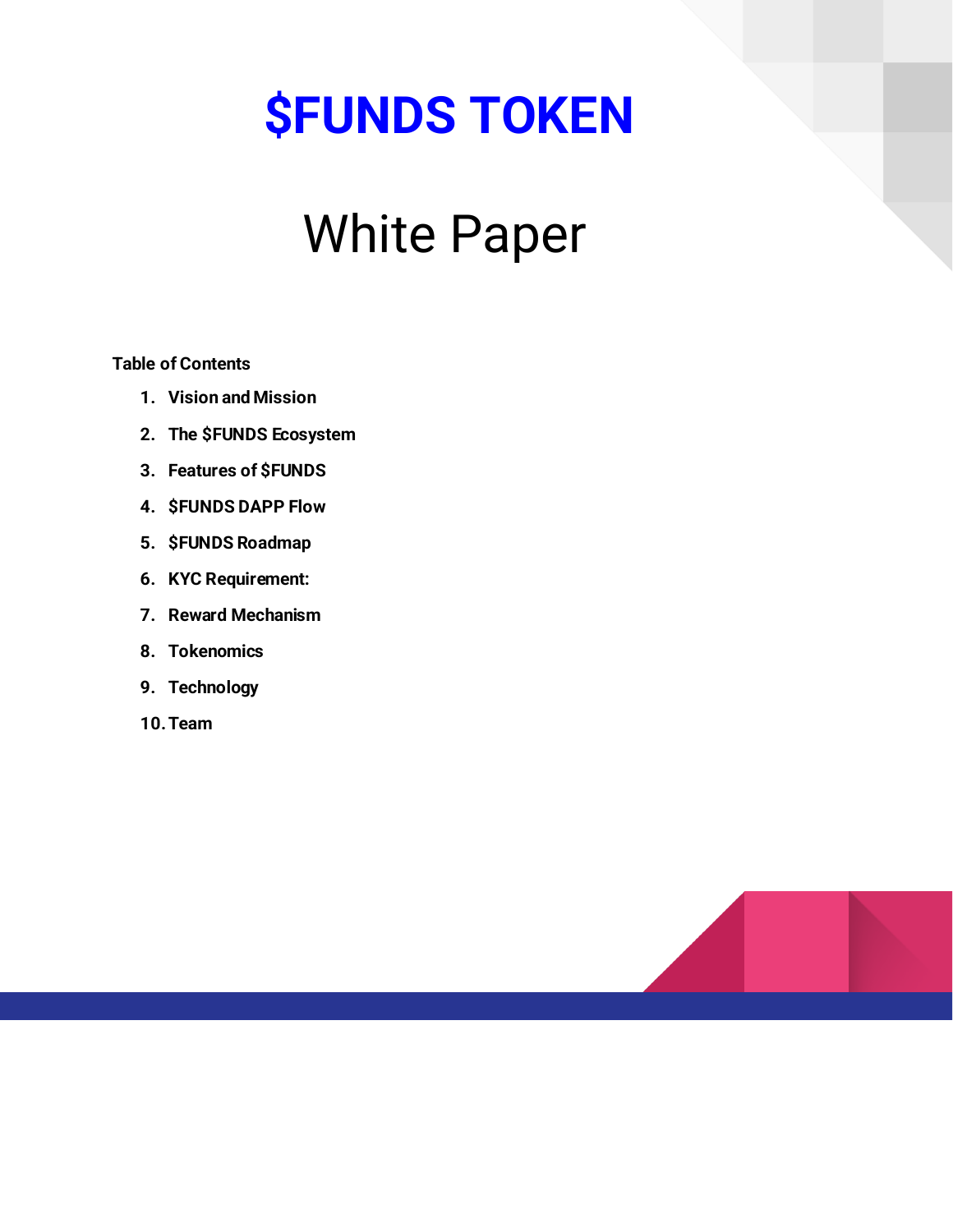# **\$FUNDS TOKEN**

# White Paper

**Table of Contents**

- **1. Vision and Mission**
- **2. The \$FUNDS Ecosystem**
- **3. Features of \$FUNDS**
- **4. \$FUNDS DAPP Flow**
- **5. \$FUNDS Roadmap**
- **6. KYC Requirement:**
- **7. Reward Mechanism**
- **8. Tokenomics**
- **9. Technology**
- **10.Team**

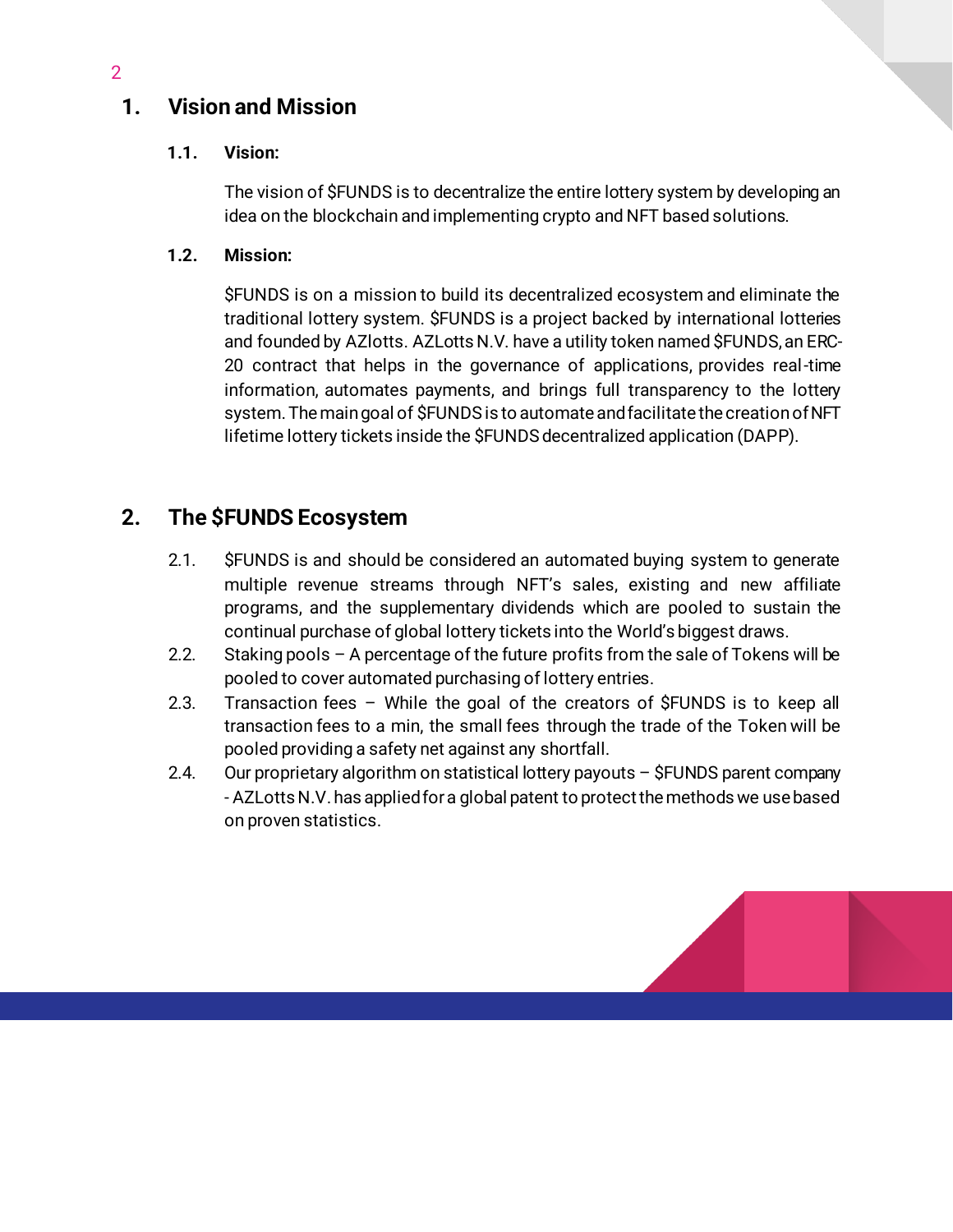# **1. Vision and Mission**

## **1.1. Vision:**

The vision of \$FUNDS is to decentralize the entire lottery system by developing an idea on the blockchain and implementing crypto and NFT based solutions.

### **1.2. Mission:**

\$FUNDS is on a mission to build its decentralized ecosystem and eliminate the traditional lottery system. \$FUNDS is a project backed by international lotteries and founded by AZlotts. AZLotts N.V. have a utility token named \$FUNDS, an ERC-20 contract that helps in the governance of applications, provides real-time information, automates payments, and brings full transparency to the lottery system. The main goal of \$FUNDSis to automate andfacilitate the creationof NFT lifetime lottery tickets inside the \$FUNDS decentralized application (DAPP).

## **2. The \$FUNDS Ecosystem**

- 2.1. \$FUNDS is and should be considered an automated buying system to generate multiple revenue streams through NFT's sales, existing and new affiliate programs, and the supplementary dividends which are pooled to sustain the continual purchase of global lottery tickets into the World's biggest draws.
- 2.2. Staking pools A percentage of the future profits from the sale of Tokens will be pooled to cover automated purchasing of lottery entries.
- 2.3. Transaction fees While the goal of the creators of \$FUNDS is to keep all transaction fees to a min, the small fees through the trade of the Token will be pooled providing a safety net against any shortfall.
- 2.4. Our proprietary algorithm on statistical lottery payouts \$FUNDS parent company - AZLotts N.V. has applied for a global patent to protect the methods we use based on proven statistics.



2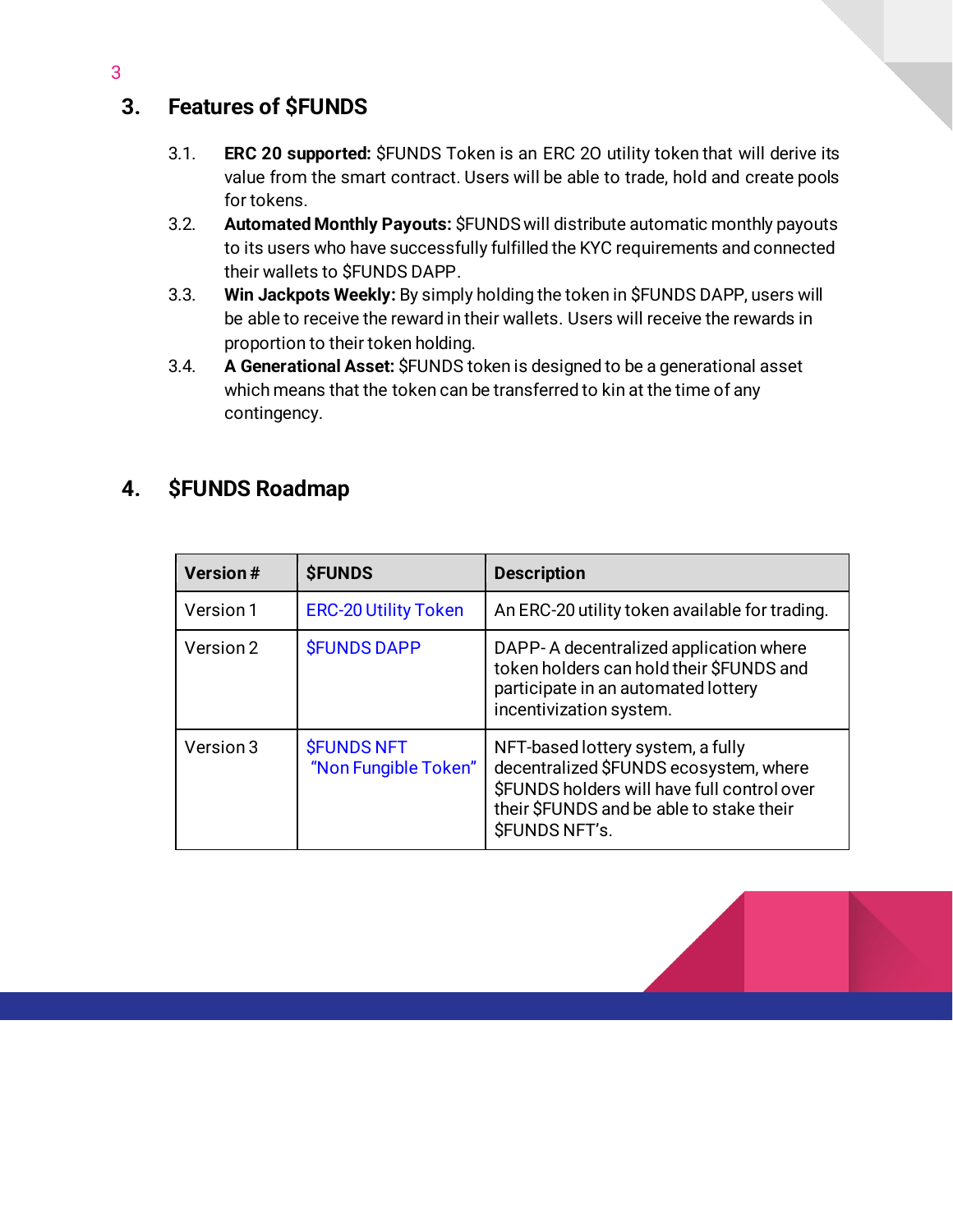# **3. Features of \$FUNDS**

- 3.1. **ERC 20 supported:** \$FUNDS Token is an ERC 2O utility token that will derive its value from the smart contract. Users will be able to trade, hold and create pools for tokens.
- 3.2. **Automated Monthly Payouts:** \$FUNDSwill distribute automatic monthly payouts to its users who have successfully fulfilled the KYC requirements and connected their wallets to \$FUNDS DAPP.
- 3.3. **Win Jackpots Weekly:** By simply holding the token in \$FUNDS DAPP, users will be able to receive the reward in their wallets. Users will receive the rewards in proportion to their token holding.
- 3.4. **A Generational Asset:** \$FUNDS token is designed to be a generational asset which means that the token can be transferred to kin at the time of any contingency.

# **4. \$FUNDS Roadmap**

| <b>Version#</b> | <b><i>SFUNDS</i></b>                      | <b>Description</b>                                                                                                                                                                                    |
|-----------------|-------------------------------------------|-------------------------------------------------------------------------------------------------------------------------------------------------------------------------------------------------------|
| Version 1       | <b>ERC-20 Utility Token</b>               | An ERC-20 utility token available for trading.                                                                                                                                                        |
| Version 2       | <b><i>SFUNDS DAPP</i></b>                 | DAPP-A decentralized application where<br>token holders can hold their \$FUNDS and<br>participate in an automated lottery<br>incentivization system.                                                  |
| Version 3       | <b>SFUNDS NFT</b><br>"Non Fungible Token" | NFT-based lottery system, a fully<br>decentralized \$FUNDS ecosystem, where<br>\$FUNDS holders will have full control over<br>their \$FUNDS and be able to stake their<br><b><i>SFUNDS NFT's.</i></b> |

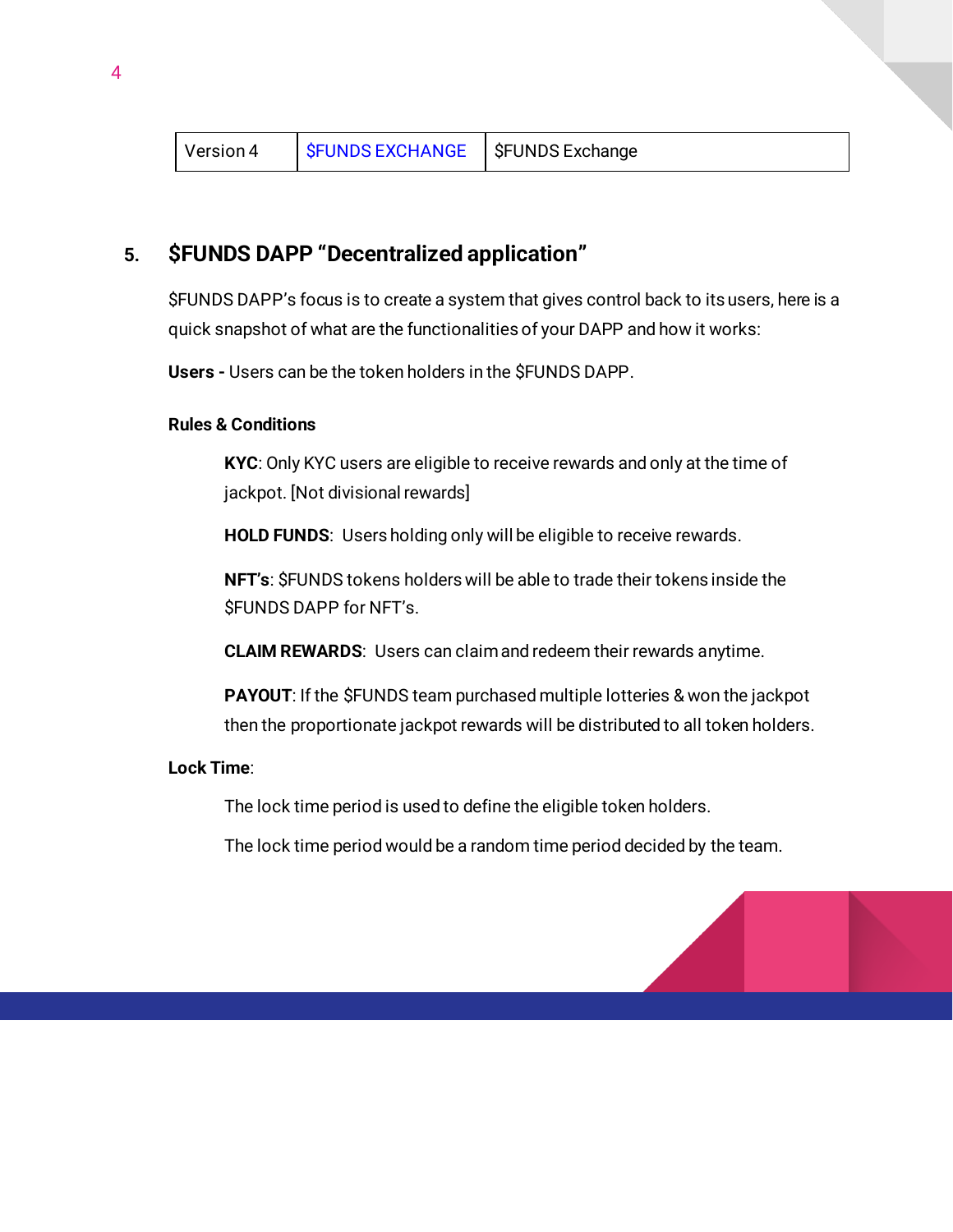## **5. \$FUNDS DAPP "Decentralized application"**

\$FUNDS DAPP's focus is to create a system that gives control back to its users, here is a quick snapshot of what are the functionalities of your DAPP and how it works:

**Users -** Users can be the token holders in the \$FUNDS DAPP.

#### **Rules & Conditions**

**KYC**: Only KYC users are eligible to receive rewards and only at the time of jackpot. [Not divisional rewards]

**HOLD FUNDS**: Users holding only will be eligible to receive rewards.

**NFT's**: \$FUNDS tokens holders will be able to trade their tokens inside the \$FUNDS DAPP for NFT's.

**CLAIM REWARDS**: Users can claim and redeem their rewards anytime.

**PAYOUT**: If the \$FUNDS team purchased multiple lotteries & won the jackpot then the proportionate jackpot rewards will be distributed to all token holders.

#### **Lock Time**:

The lock time period is used to define the eligible token holders.

The lock time period would be a random time period decided by the team.

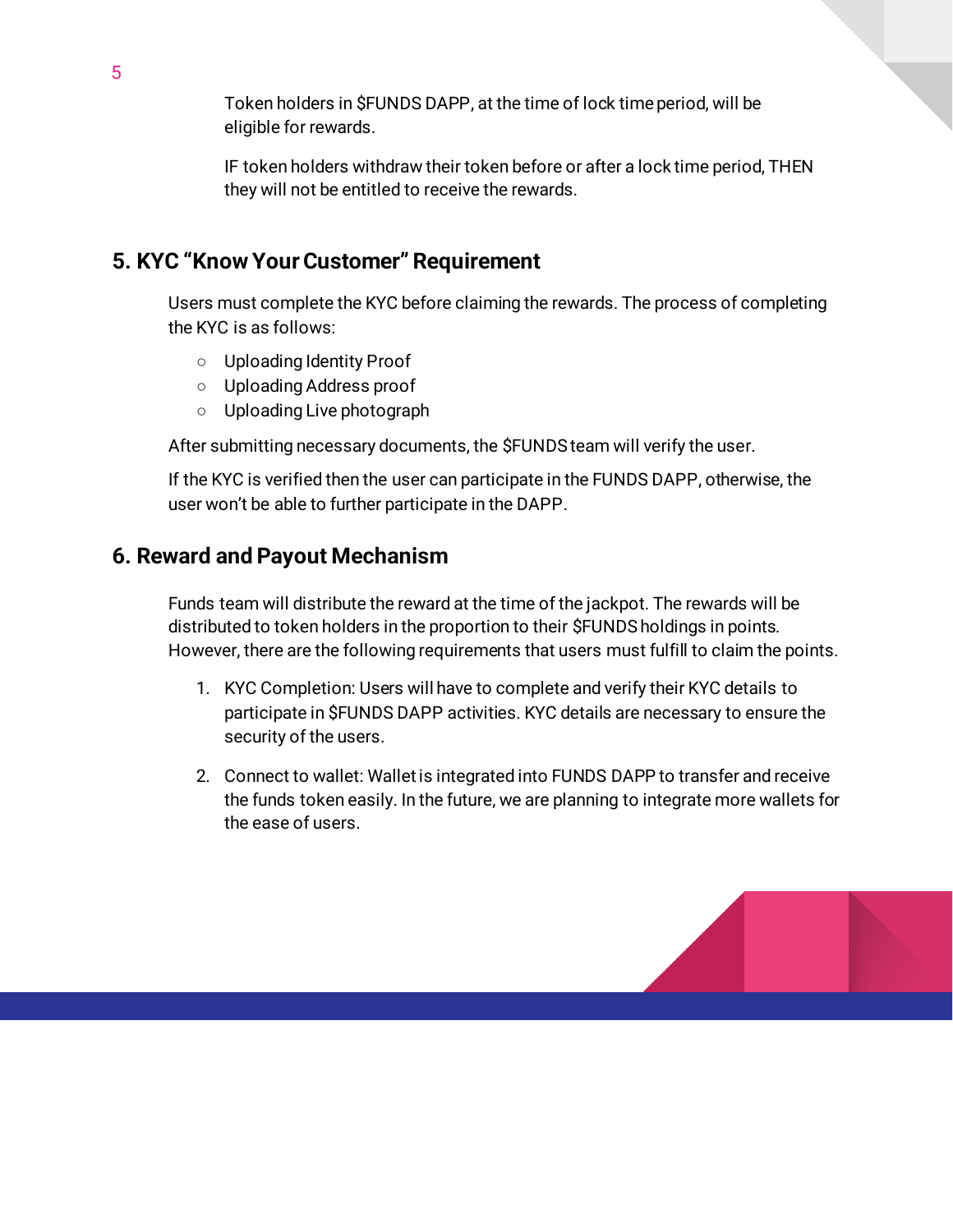Token holders in \$FUNDS DAPP, at the time of lock time period, will be eligible for rewards.

IF token holders withdraw their token before or after a lock time period, THEN they will not be entitled to receive the rewards.

## **5. KYC "Know Your Customer" Requirement**

Users must complete the KYC before claiming the rewards. The process of completing the KYC is as follows:

- Uploading Identity Proof
- Uploading Address proof
- Uploading Live photograph

After submitting necessary documents, the \$FUNDS team will verify the user.

If the KYC is verified then the user can participate in the FUNDS DAPP, otherwise, the user won't be able to further participate in the DAPP.

## **6. Reward and Payout Mechanism**

Funds team will distribute the reward at the time of the jackpot. The rewards will be distributed to token holders in the proportion to their \$FUNDS holdings in points. However, there are the following requirements that users must fulfill to claim the points.

- 1. KYC Completion: Users will have to complete and verify their KYC details to participate in \$FUNDS DAPP activities. KYC details are necessary to ensure the security of the users.
- 2. Connect to wallet: Wallet is integrated into FUNDS DAPP to transfer and receive the funds token easily. In the future, we are planning to integrate more wallets for the ease of users.

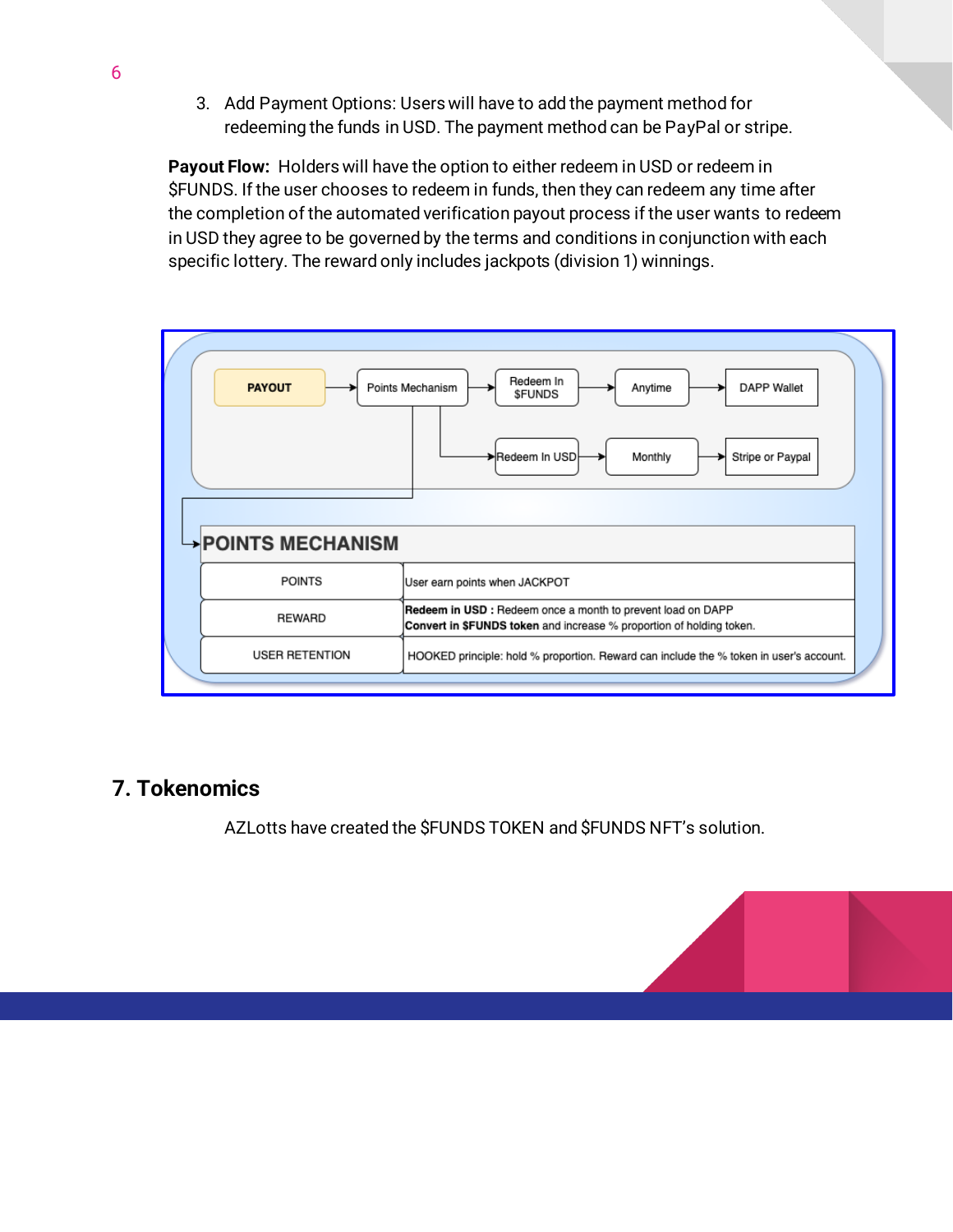3. Add Payment Options: Users will have to add the payment method for redeeming the funds in USD. The payment method can be PayPal or stripe.

**Payout Flow:** Holders will have the option to either redeem in USD or redeem in \$FUNDS. If the user chooses to redeem in funds, then they can redeem any time after the completion of the automated verification payout process if the user wants to redeem in USD they agree to be governed by the terms and conditions in conjunction with each specific lottery. The reward only includes jackpots (division 1) winnings.



## **7. Tokenomics**

AZLotts have created the \$FUNDS TOKEN and \$FUNDS NFT's solution.

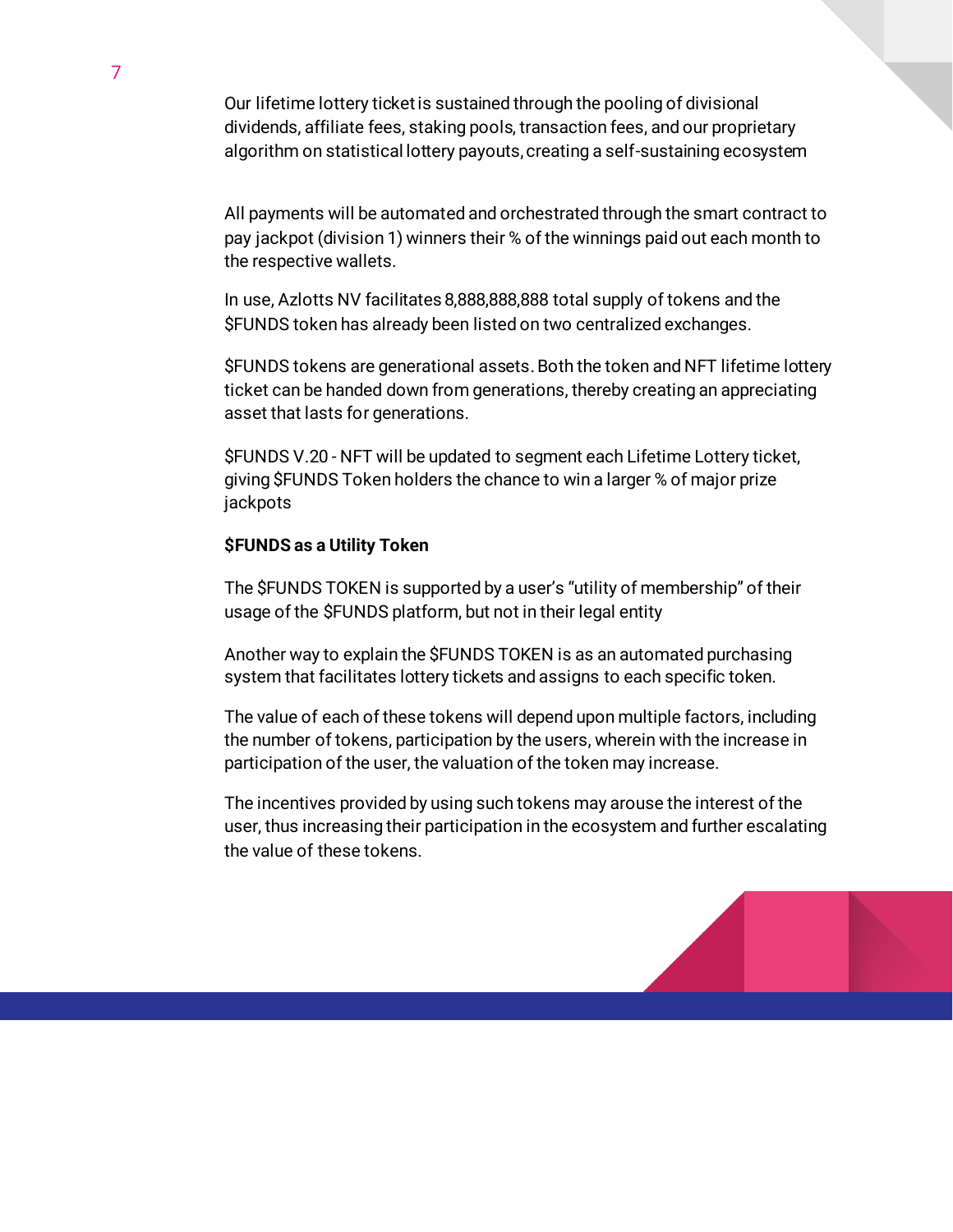Our lifetime lottery ticket is sustained through the pooling of divisional dividends, affiliate fees, staking pools, transaction fees, and our proprietary algorithm on statistical lottery payouts, creating a self-sustaining ecosystem

All payments will be automated and orchestrated through the smart contract to pay jackpot (division 1) winners their % of the winnings paid out each month to the respective wallets.

In use, Azlotts NV facilitates 8,888,888,888 total supply of tokens and the \$FUNDS token has already been listed on two centralized exchanges.

\$FUNDS tokens are generational assets.Both the token and NFT lifetime lottery ticket can be handed down from generations, thereby creating an appreciating asset that lasts for generations.

\$FUNDS V.20 - NFT will be updated to segment each Lifetime Lottery ticket, giving \$FUNDS Token holders the chance to win a larger % of major prize jackpots

### **\$FUNDS as a Utility Token**

The \$FUNDS TOKEN is supported by a user's "utility of membership" of their usage of the \$FUNDS platform, but not in their legal entity

Another way to explain the \$FUNDS TOKEN is as an automated purchasing system that facilitates lottery tickets and assigns to each specific token.

The value of each of these tokens will depend upon multiple factors, including the number of tokens, participation by the users, wherein with the increase in participation of the user, the valuation of the token may increase.

The incentives provided by using such tokens may arouse the interest of the user, thus increasing their participation in the ecosystem and further escalating the value of these tokens.

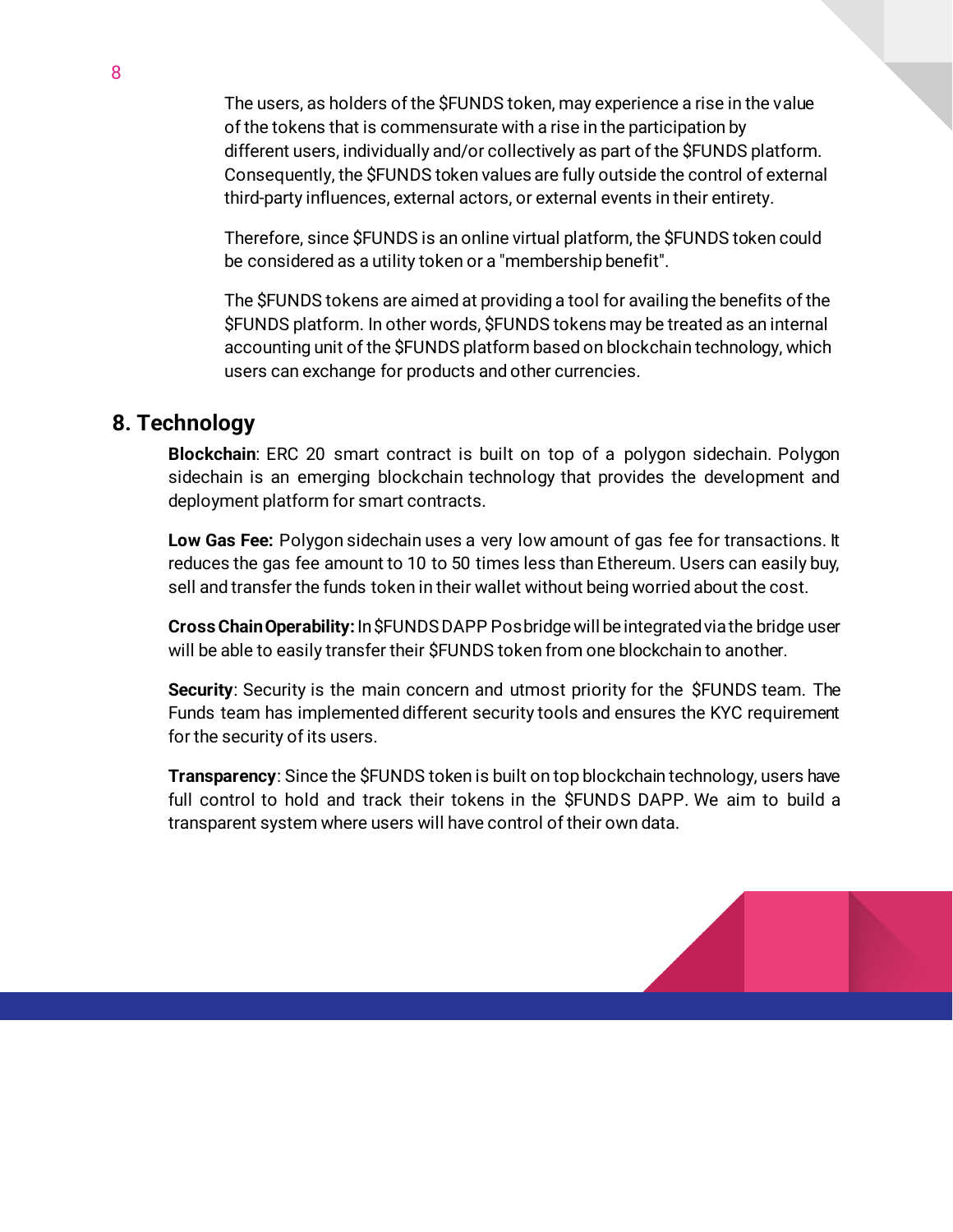The users, as holders of the \$FUNDS token, may experience a rise in the value of the tokens that is commensurate with a rise in the participation by different users, individually and/or collectively as part of the \$FUNDS platform. Consequently, the \$FUNDS token values are fully outside the control of external third-party influences, external actors, or external events in their entirety.

Therefore, since \$FUNDS is an online virtual platform, the \$FUNDS token could be considered as a utility token or a "membership benefit".

The \$FUNDS tokens are aimed at providing a tool for availing the benefits of the \$FUNDS platform. In other words, \$FUNDS tokens may be treated as an internal accounting unit of the \$FUNDS platform based on blockchain technology, which users can exchange for products and other currencies.

## **8. Technology**

**Blockchain**: ERC 20 smart contract is built on top of a polygon sidechain. Polygon sidechain is an emerging blockchain technology that provides the development and deployment platform for smart contracts.

**Low Gas Fee:** Polygon sidechain uses a very low amount of gas fee for transactions. It reduces the gas fee amount to 10 to 50 times less than Ethereum. Users can easily buy, sell and transfer the funds token in their wallet without being worried about the cost.

**Cross Chain Operability:** In \$FUNDS DAPP Pos bridge will be integrated via the bridge user will be able to easily transfer their \$FUNDS token from one blockchain to another.

**Security**: Security is the main concern and utmost priority for the \$FUNDS team. The Funds team has implemented different security tools and ensures the KYC requirement for the security of its users.

**Transparency**: Since the \$FUNDS token is built on top blockchain technology, users have full control to hold and track their tokens in the \$FUNDS DAPP. We aim to build a transparent system where users will have control of their own data.

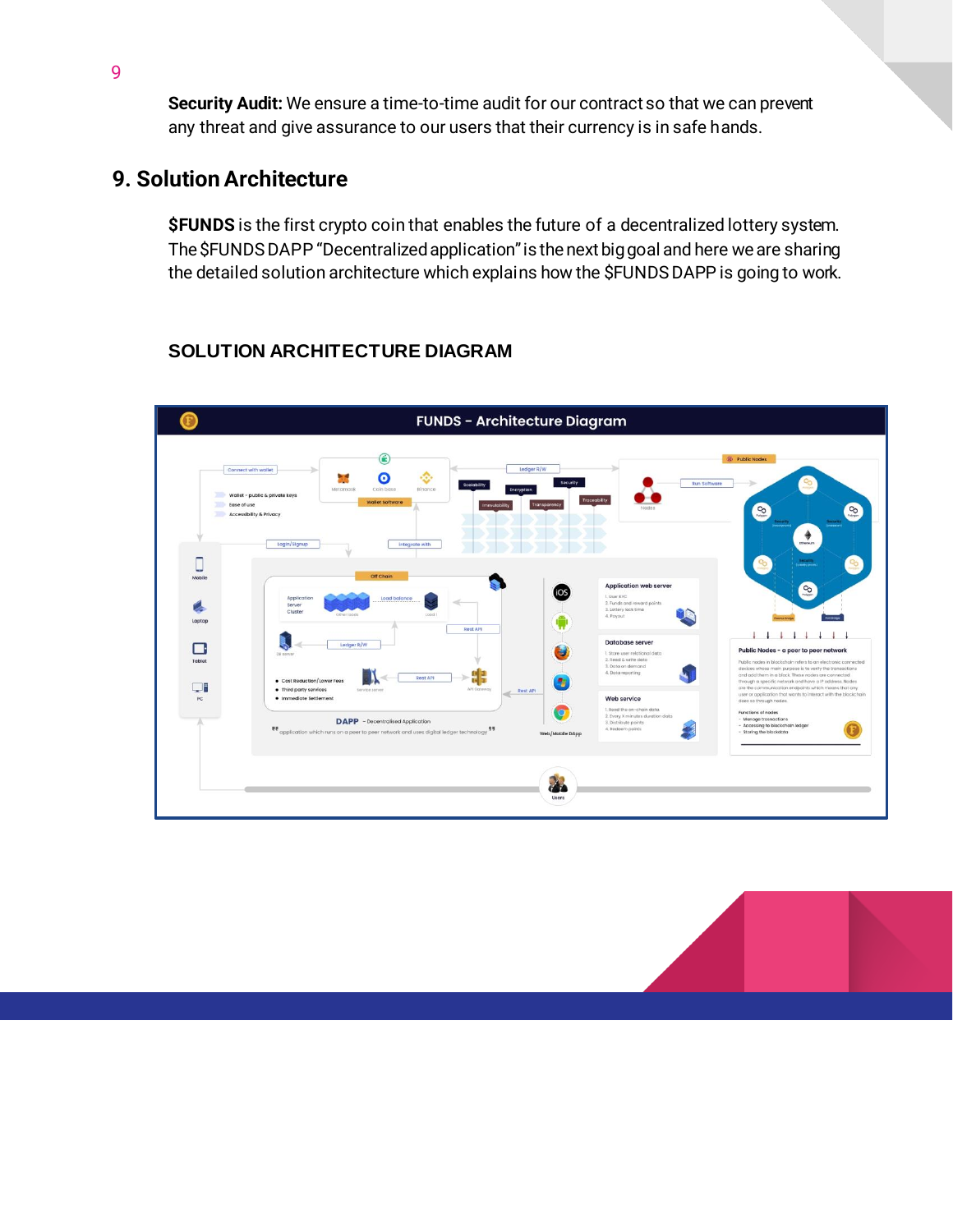**Security Audit:** We ensure a time-to-time audit for our contract so that we can prevent any threat and give assurance to our users that their currency is in safe hands.

## **9. Solution Architecture**

**\$FUNDS** is the first crypto coin that enables the future of a decentralized lottery system. The \$FUNDS DAPP "Decentralizedapplication" is the next big goal and here we are sharing the detailed solution architecture which explains how the \$FUNDS DAPP is going to work.

# **SOLUTION ARCHITECTURE DIAGRAM**



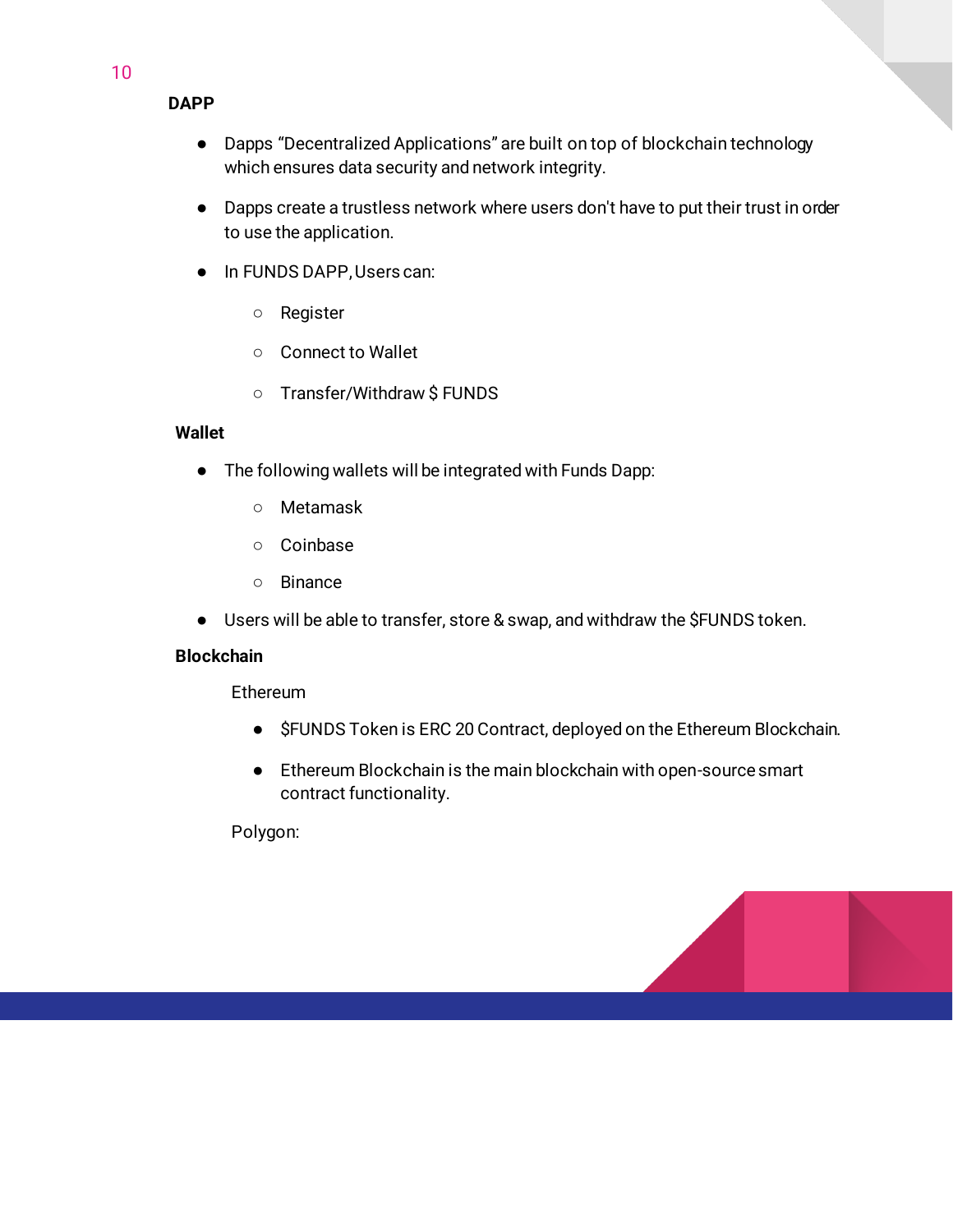### **DAPP**

- Dapps "Decentralized Applications" are built on top of blockchain technology which ensures data security and network integrity.
- Dapps create a trustless network where users don't have to put their trust in order to use the application.
- In FUNDS DAPP, Users can:
	- Register
	- Connect to Wallet
	- Transfer/Withdraw \$ FUNDS

#### **Wallet**

- The following wallets will be integrated with Funds Dapp:
	- Metamask
	- Coinbase
	- Binance
- Users will be able to transfer, store & swap, and withdraw the \$FUNDS token.

#### **Blockchain**

Ethereum

- \$FUNDS Token is ERC 20 Contract, deployed on the Ethereum Blockchain.
- Ethereum Blockchain is the main blockchain with open-source smart contract functionality.

Polygon:

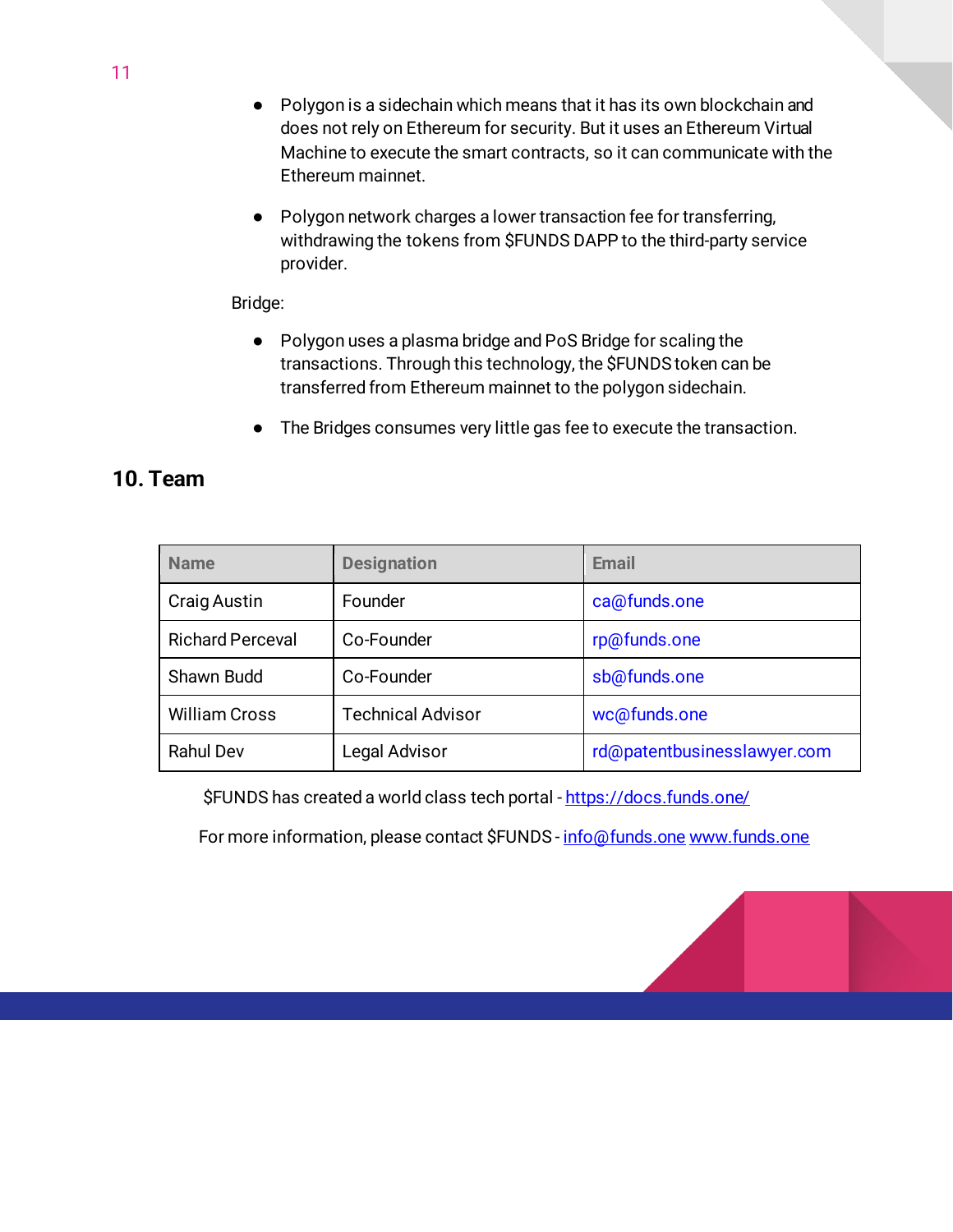- Polygon is a sidechain which means that it has its own blockchain and does not rely on Ethereum for security. But it uses an Ethereum Virtual Machine to execute the smart contracts, so it can communicate with the Ethereum mainnet.
- Polygon network charges a lower transaction fee for transferring, withdrawing the tokens from \$FUNDS DAPP to the third-party service provider.

#### Bridge:

- Polygon uses a plasma bridge and PoS Bridge for scaling the transactions. Through this technology, the \$FUNDS token can be transferred from Ethereum mainnet to the polygon sidechain.
- The Bridges consumes very little gas fee to execute the transaction.

## **10. Team**

| <b>Name</b>             | <b>Designation</b>       | <b>Email</b>                |
|-------------------------|--------------------------|-----------------------------|
| <b>Craig Austin</b>     | Founder                  | ca@funds.one                |
| <b>Richard Perceval</b> | Co-Founder               | rp@funds.one                |
| Shawn Budd              | Co-Founder               | sb@funds.one                |
| <b>William Cross</b>    | <b>Technical Advisor</b> | wc@funds.one                |
| <b>Rahul Dev</b>        | Legal Advisor            | rd@patentbusinesslawyer.com |

\$FUNDS has created a world class tech portal - https://docs.funds.one/

For more information, please contact \$FUNDS - info@funds.one www.funds.one